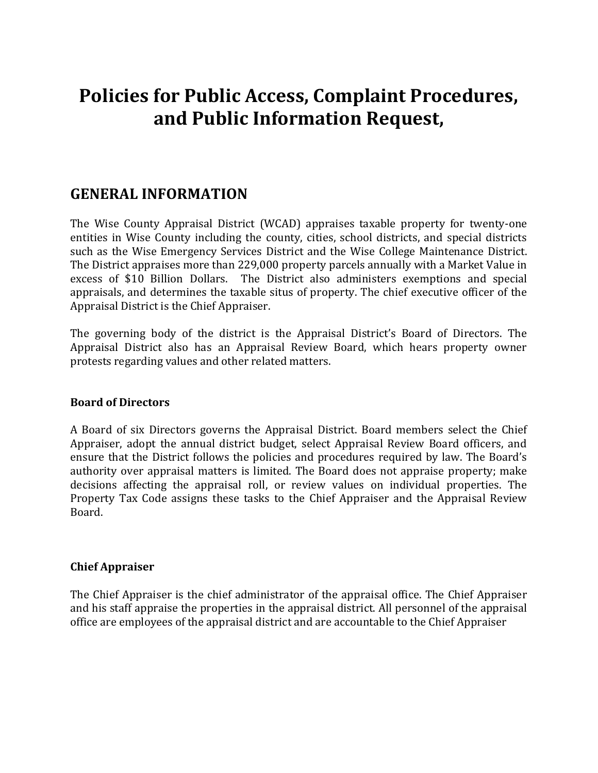# **Policies for Public Access, Complaint Procedures, and Public Information Request,**

# **GENERAL INFORMATION**

The Wise County Appraisal District (WCAD) appraises taxable property for twenty-one entities in Wise County including the county, cities, school districts, and special districts such as the Wise Emergency Services District and the Wise College Maintenance District. The District appraises more than 229,000 property parcels annually with a Market Value in excess of \$10 Billion Dollars. The District also administers exemptions and special appraisals, and determines the taxable situs of property. The chief executive officer of the Appraisal District is the Chief Appraiser.

The governing body of the district is the Appraisal District's Board of Directors. The Appraisal District also has an Appraisal Review Board, which hears property owner protests regarding values and other related matters.

#### **Board of Directors**

A Board of six Directors governs the Appraisal District. Board members select the Chief Appraiser, adopt the annual district budget, select Appraisal Review Board officers, and ensure that the District follows the policies and procedures required by law. The Board's authority over appraisal matters is limited. The Board does not appraise property; make decisions affecting the appraisal roll, or review values on individual properties. The Property Tax Code assigns these tasks to the Chief Appraiser and the Appraisal Review Board.

#### **Chief Appraiser**

The Chief Appraiser is the chief administrator of the appraisal office. The Chief Appraiser and his staff appraise the properties in the appraisal district. All personnel of the appraisal office are employees of the appraisal district and are accountable to the Chief Appraiser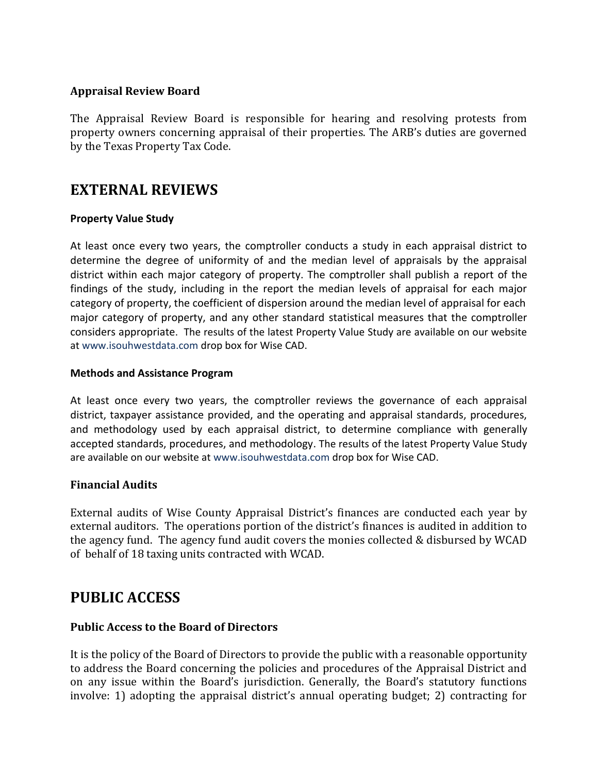### **Appraisal Review Board**

The Appraisal Review Board is responsible for hearing and resolving protests from property owners concerning appraisal of their properties. The ARB's duties are governed by the Texas Property Tax Code.

### **EXTERNAL REVIEWS**

#### **Property Value Study**

At least once every two years, the comptroller conducts a study in each appraisal district to determine the degree of uniformity of and the median level of appraisals by the appraisal district within each major category of property. The comptroller shall publish a report of the findings of the study, including in the report the median levels of appraisal for each major category of property, the coefficient of dispersion around the median level of appraisal for each major category of property, and any other standard statistical measures that the comptroller considers appropriate. The results of the latest Property Value Study are available on our website at [www.isouhwestdata.com](http://www.isouhwestdata.com/) drop box for Wise CAD.

#### **Methods and Assistance Program**

At least once every two years, the comptroller reviews the governance of each appraisal district, taxpayer assistance provided, and the operating and appraisal standards, procedures, and methodology used by each appraisal district, to determine compliance with generally accepted standards, procedures, and methodology. The results of the latest Property Value Study are available on our website at [www.isouhwestdata.com](http://www.isouhwestdata.com/) drop box for Wise CAD.

#### **Financial Audits**

External audits of Wise County Appraisal District's finances are conducted each year by external auditors. The operations portion of the district's finances is audited in addition to the agency fund. The agency fund audit covers the monies collected & disbursed by WCAD of behalf of 18 taxing units contracted with WCAD.

# **PUBLIC ACCESS**

#### **Public Access to the Board of Directors**

It is the policy of the Board of Directors to provide the public with a reasonable opportunity to address the Board concerning the policies and procedures of the Appraisal District and on any issue within the Board's jurisdiction. Generally, the Board's statutory functions involve: 1) adopting the appraisal district's annual operating budget; 2) contracting for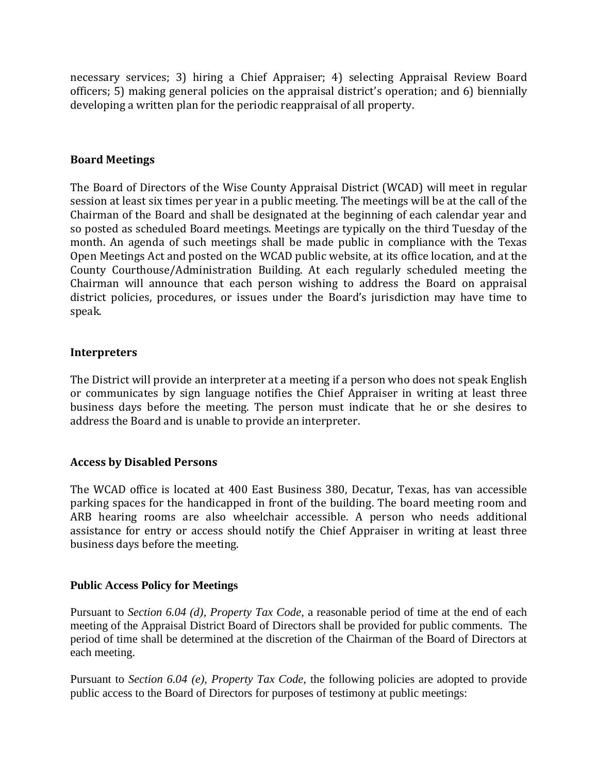necessary services; 3) hiring a Chief Appraiser; 4) selecting Appraisal Review Board officers; 5) making general policies on the appraisal district's operation; and 6) biennially developing a written plan for the periodic reappraisal of all property.

#### **Board Meetings**

The Board of Directors of the Wise County Appraisal District (WCAD) will meet in regular session at least six times per year in a public meeting. The meetings will be at the call of the Chairman of the Board and shall be designated at the beginning of each calendar year and so posted as scheduled Board meetings. Meetings are typically on the third Tuesday of the month. An agenda of such meetings shall be made public in compliance with the Texas Open Meetings Act and posted on the WCAD public website, at its office location, and at the County Courthouse/Administration Building. At each regularly scheduled meeting the Chairman will announce that each person wishing to address the Board on appraisal district policies, procedures, or issues under the Board's jurisdiction may have time to speak.

#### **Interpreters**

The District will provide an interpreter at a meeting if a person who does not speak English or communicates by sign language notifies the Chief Appraiser in writing at least three business days before the meeting. The person must indicate that he or she desires to address the Board and is unable to provide an interpreter.

#### **Access by Disabled Persons**

The WCAD office is located at 400 East Business 380, Decatur, Texas, has van accessible parking spaces for the handicapped in front of the building. The board meeting room and ARB hearing rooms are also wheelchair accessible. A person who needs additional assistance for entry or access should notify the Chief Appraiser in writing at least three business days before the meeting.

#### **Public Access Policy for Meetings**

Pursuant to *Section 6.04 (d), Property Tax Code,* a reasonable period of time at the end of each meeting of the Appraisal District Board of Directors shall be provided for public comments. The period of time shall be determined at the discretion of the Chairman of the Board of Directors at each meeting.

Pursuant to *Section 6.04 (e), Property Tax Code,* the following policies are adopted to provide public access to the Board of Directors for purposes of testimony at public meetings: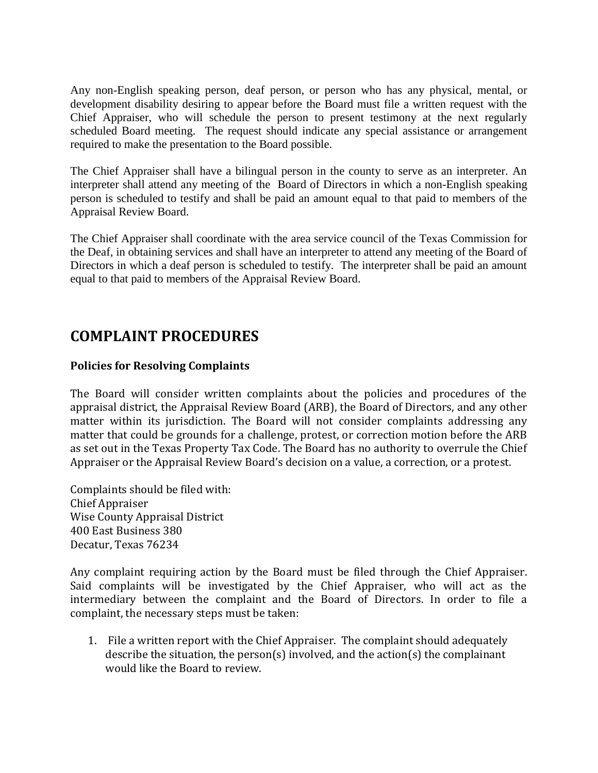Any non-English speaking person, deaf person, or person who has any physical, mental, or development disability desiring to appear before the Board must file a written request with the Chief Appraiser, who will schedule the person to present testimony at the next regularly scheduled Board meeting. The request should indicate any special assistance or arrangement required to make the presentation to the Board possible.

The Chief Appraiser shall have a bilingual person in the county to serve as an interpreter. An interpreter shall attend any meeting of the Board of Directors in which a non-English speaking person is scheduled to testify and shall be paid an amount equal to that paid to members of the Appraisal Review Board.

The Chief Appraiser shall coordinate with the area service council of the Texas Commission for the Deaf, in obtaining services and shall have an interpreter to attend any meeting of the Board of Directors in which a deaf person is scheduled to testify. The interpreter shall be paid an amount equal to that paid to members of the Appraisal Review Board.

### **COMPLAINT PROCEDURES**

### **Policies for Resolving Complaints**

The Board will consider written complaints about the policies and procedures of the appraisal district, the Appraisal Review Board (ARB), the Board of Directors, and any other matter within its jurisdiction. The Board will not consider complaints addressing any matter that could be grounds for a challenge, protest, or correction motion before the ARB as set out in the Texas Property Tax Code. The Board has no authority to overrule the Chief Appraiser or the Appraisal Review Board's decision on a value, a correction, or a protest.

Complaints should be filed with: Chief Appraiser Wise County Appraisal District 400 East Business 380 Decatur, Texas 76234

Any complaint requiring action by the Board must be filed through the Chief Appraiser. Said complaints will be investigated by the Chief Appraiser, who will act as the intermediary between the complaint and the Board of Directors. In order to file a complaint, the necessary steps must be taken:

1. File a written report with the Chief Appraiser. The complaint should adequately describe the situation, the person(s) involved, and the action(s) the complainant would like the Board to review.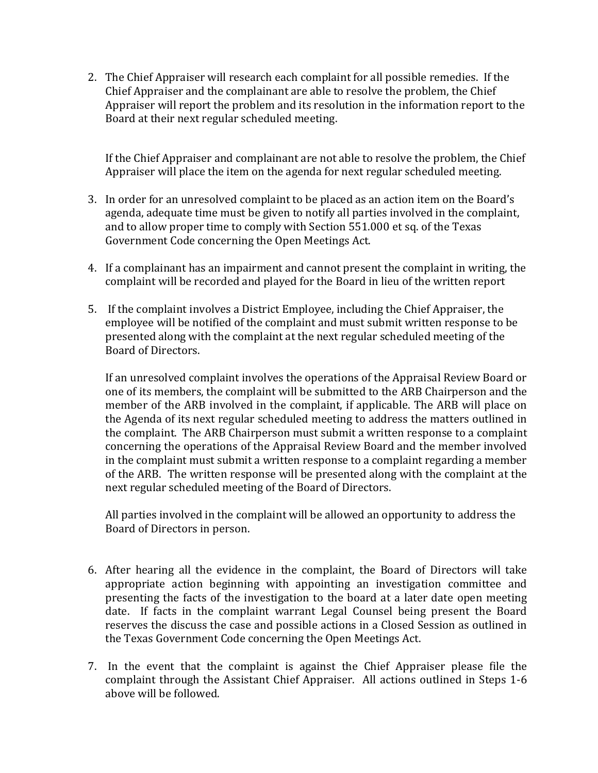2. The Chief Appraiser will research each complaint for all possible remedies. If the Chief Appraiser and the complainant are able to resolve the problem, the Chief Appraiser will report the problem and its resolution in the information report to the Board at their next regular scheduled meeting.

If the Chief Appraiser and complainant are not able to resolve the problem, the Chief Appraiser will place the item on the agenda for next regular scheduled meeting.

- 3. In order for an unresolved complaint to be placed as an action item on the Board's agenda, adequate time must be given to notify all parties involved in the complaint, and to allow proper time to comply with Section 551.000 et sq. of the Texas Government Code concerning the Open Meetings Act.
- 4. If a complainant has an impairment and cannot present the complaint in writing, the complaint will be recorded and played for the Board in lieu of the written report
- 5. If the complaint involves a District Employee, including the Chief Appraiser, the employee will be notified of the complaint and must submit written response to be presented along with the complaint at the next regular scheduled meeting of the Board of Directors.

If an unresolved complaint involves the operations of the Appraisal Review Board or one of its members, the complaint will be submitted to the ARB Chairperson and the member of the ARB involved in the complaint, if applicable. The ARB will place on the Agenda of its next regular scheduled meeting to address the matters outlined in the complaint. The ARB Chairperson must submit a written response to a complaint concerning the operations of the Appraisal Review Board and the member involved in the complaint must submit a written response to a complaint regarding a member of the ARB. The written response will be presented along with the complaint at the next regular scheduled meeting of the Board of Directors.

All parties involved in the complaint will be allowed an opportunity to address the Board of Directors in person.

- 6. After hearing all the evidence in the complaint, the Board of Directors will take appropriate action beginning with appointing an investigation committee and presenting the facts of the investigation to the board at a later date open meeting date. If facts in the complaint warrant Legal Counsel being present the Board reserves the discuss the case and possible actions in a Closed Session as outlined in the Texas Government Code concerning the Open Meetings Act.
- 7. In the event that the complaint is against the Chief Appraiser please file the complaint through the Assistant Chief Appraiser. All actions outlined in Steps 1-6 above will be followed.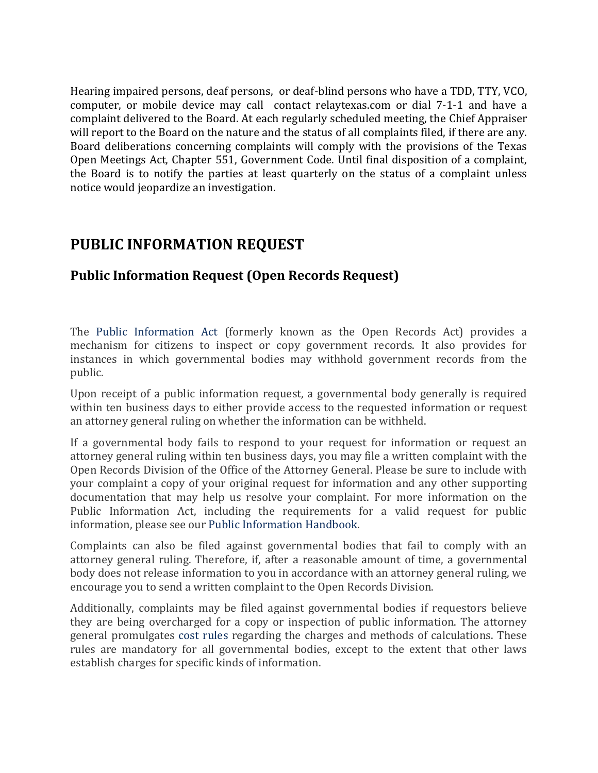Hearing impaired persons, deaf persons, or deaf-blind persons who have a TDD, TTY, VCO, computer, or mobile device may call contact relaytexas.com or dial 7-1-1 and have a complaint delivered to the Board. At each regularly scheduled meeting, the Chief Appraiser will report to the Board on the nature and the status of all complaints filed, if there are any. Board deliberations concerning complaints will comply with the provisions of the Texas Open Meetings Act, Chapter 551, Government Code. Until final disposition of a complaint, the Board is to notify the parties at least quarterly on the status of a complaint unless notice would jeopardize an investigation.

# **PUBLIC INFORMATION REQUEST**

### **Public Information Request (Open Records Request)**

The [Public Information Act](http://www.statutes.legis.state.tx.us/SOTWDocs/GV/htm/GV.552.htm) (formerly known as the Open Records Act) provides a mechanism for citizens to inspect or copy government records. It also provides for instances in which governmental bodies may withhold government records from the public.

Upon receipt of a public information request, a governmental body generally is required within ten business days to either provide access to the requested information or request an attorney general ruling on whether the information can be withheld.

If a governmental body fails to respond to your request for information or request an attorney general ruling within ten business days, you may file a written complaint with the Open Records Division of the Office of the Attorney General. Please be sure to include with your complaint a copy of your original request for information and any other supporting documentation that may help us resolve your complaint. For more information on the Public Information Act, including the requirements for a valid request for public information, please see our [Public Information Handbook.](https://www.texasattorneygeneral.gov/files/og/publicinfo_hb.pdf)

Complaints can also be filed against governmental bodies that fail to comply with an attorney general ruling. Therefore, if, after a reasonable amount of time, a governmental body does not release information to you in accordance with an attorney general ruling, we encourage you to send a written complaint to the Open Records Division.

Additionally, complaints may be filed against governmental bodies if requestors believe they are being overcharged for a copy or inspection of public information. The attorney general promulgates [cost rules](http://info.sos.state.tx.us/pls/pub/readtac$ext.ViewTAC?tac_view=4&ti=1&pt=3&ch=70&rl=Y) regarding the charges and methods of calculations. These rules are mandatory for all governmental bodies, except to the extent that other laws establish charges for specific kinds of information.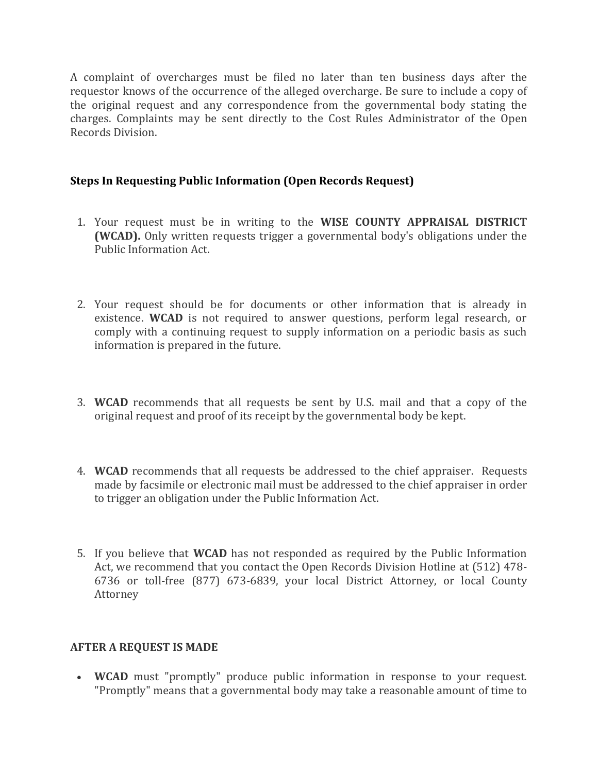A complaint of overcharges must be filed no later than ten business days after the requestor knows of the occurrence of the alleged overcharge. Be sure to include a copy of the original request and any correspondence from the governmental body stating the charges. Complaints may be sent directly to the Cost Rules Administrator of the Open Records Division.

### **Steps In Requesting Public Information (Open Records Request)**

- 1. Your request must be in writing to the **WISE COUNTY APPRAISAL DISTRICT (WCAD).** Only written requests trigger a governmental body's obligations under the Public Information Act.
- 2. Your request should be for documents or other information that is already in existence. **WCAD** is not required to answer questions, perform legal research, or comply with a continuing request to supply information on a periodic basis as such information is prepared in the future.
- 3. **WCAD** recommends that all requests be sent by U.S. mail and that a copy of the original request and proof of its receipt by the governmental body be kept.
- 4. **WCAD** recommends that all requests be addressed to the chief appraiser. Requests made by facsimile or electronic mail must be addressed to the chief appraiser in order to trigger an obligation under the Public Information Act.
- 5. If you believe that **WCAD** has not responded as required by the Public Information Act, we recommend that you contact the Open Records Division Hotline at (512) 478- 6736 or toll-free (877) 673-6839, your local District Attorney, or local County Attorney

#### **AFTER A REQUEST IS MADE**

 **WCAD** must "promptly" produce public information in response to your request. "Promptly" means that a governmental body may take a reasonable amount of time to